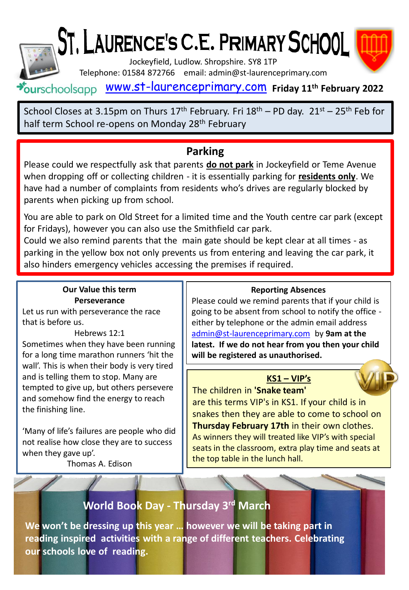

# ST, LAURENCE'S C.E. PRIMARY SCHOOL



Jockeyfield, Ludlow. Shropshire. SY8 1TP

Telephone: 01584 872766 email: admin@st-laurenceprimary.com

## [www.st-laurenceprimary.com](http://www.st-laurenceprimary.com/) **Friday 11th February 2022**

School Closes at 3.15pm on Thurs  $17<sup>th</sup>$  February. Fri  $18<sup>th</sup>$  – PD day.  $21<sup>st</sup>$  –  $25<sup>th</sup>$  Feb for half term School re-opens on Monday 28<sup>th</sup> February

## **Parking**

Please could we respectfully ask that parents **do not park** in Jockeyfield or Teme Avenue when dropping off or collecting children - it is essentially parking for **residents only**. We have had a number of complaints from residents who's drives are regularly blocked by parents when picking up from school.

You are able to park on Old Street for a limited time and the Youth centre car park (except for Fridays), however you can also use the Smithfield car park.

Could we also remind parents that the main gate should be kept clear at all times - as parking in the yellow box not only prevents us from entering and leaving the car park, it also hinders emergency vehicles accessing the premises if required.

## **Our Value this term Perseverance**

Let us run with perseverance the race that is before us.

#### Hebrews 12:1

Sometimes when they have been running for a long time marathon runners 'hit the wall'. This is when their body is very tired and is telling them to stop. Many are tempted to give up, but others persevere and somehow find the energy to reach the finishing line.

'Many of life's failures are people who did not realise how close they are to success when they gave up'.

Thomas A. Edison

#### **Reporting Absences**

Please could we remind parents that if your child is going to be absent from school to notify the office either by telephone or the admin email address [admin@st-laurenceprimary.com](mailto:admin@st-laurenceprimary.com) by **9am at the latest. If we do not hear from you then your child will be registered as unauthorised.**

## **KS1 – VIP's**

The children in **'Snake team'**  are this terms VIP's in KS1. If your child is in snakes then they are able to come to school on **Thursday February 17th** in their own clothes. As winners they will treated like VIP's with special seats in the classroom, extra play time and seats at the top table in the lunch hall.

# **World Book Day - Thursday 3 rd March**

**We won't be dressing up this year … however we will be taking part in reading inspired activities with a range of different teachers. Celebrating our schools love of reading.**